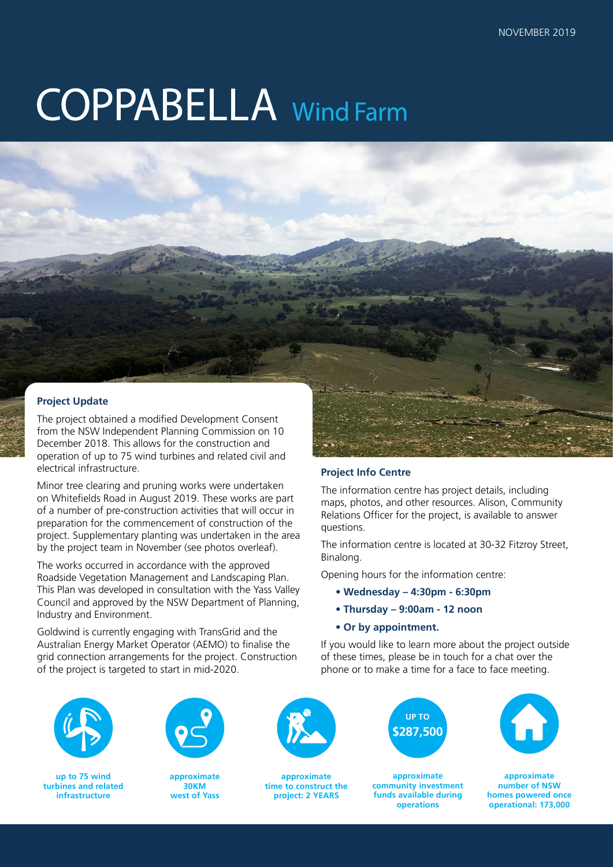# **COPPABELLA** Wind Farm

# **Project Update**

The project obtained a modified Development Consent from the NSW Independent Planning Commission on 10 December 2018. This allows for the construction and operation of up to 75 wind turbines and related civil and electrical infrastructure.

Minor tree clearing and pruning works were undertaken on Whitefields Road in August 2019. These works are part of a number of pre-construction activities that will occur in preparation for the commencement of construction of the project. Supplementary planting was undertaken in the area by the project team in November (see photos overleaf).

The works occurred in accordance with the approved Roadside Vegetation Management and Landscaping Plan. This Plan was developed in consultation with the Yass Valley Council and approved by the NSW Department of Planning, Industry and Environment.

Goldwind is currently engaging with TransGrid and the Australian Energy Market Operator (AEMO) to finalise the grid connection arrangements for the project. Construction of the project is targeted to start in mid-2020.



### **Project Info Centre**

The information centre has project details, including maps, photos, and other resources. Alison, Community Relations Officer for the project, is available to answer questions.

The information centre is located at 30-32 Fitzroy Street, Binalong.

Opening hours for the information centre:

- **Wednesday 4:30pm 6:30pm**
- **Thursday 9:00am 12 noon**
- **Or by appointment.**

If you would like to learn more about the project outside of these times, please be in touch for a chat over the phone or to make a time for a face to face meeting.



**up to 75 wind turbines and related infrastructure**



**approximate 30KM west of Yass**



**approximate time to construct the project: 2 YEARS**



**approximate community investment funds available during operations**



**approximate number of NSW homes powered once operational: 173,000**